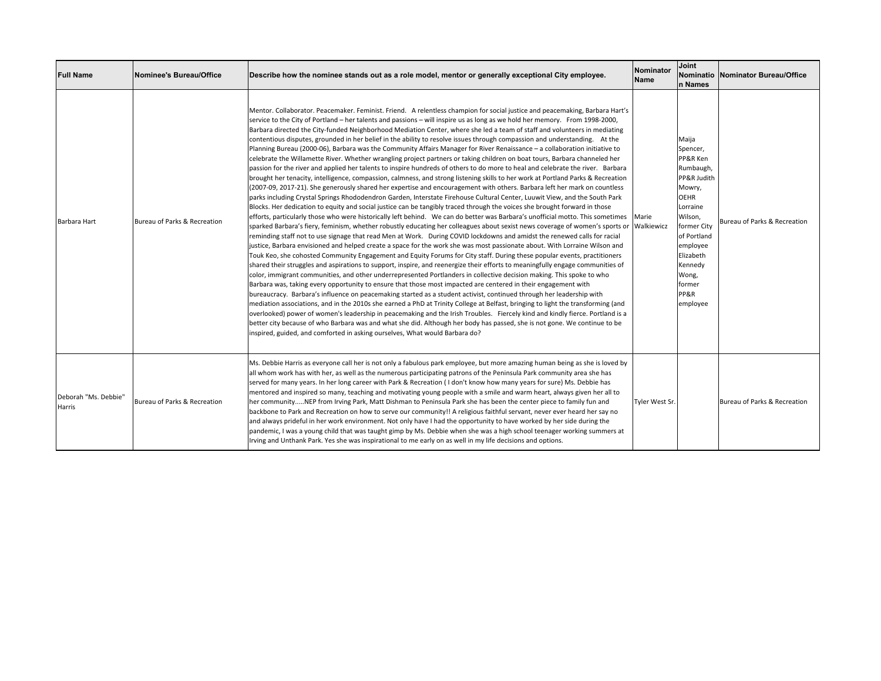| <b>Full Name</b>               | Nominee's Bureau/Office      | Describe how the nominee stands out as a role model, mentor or generally exceptional City employee.                                                                                                                                                                                                                                                                                                                                                                                                                                                                                                                                                                                                                                                                                                                                                                                                                                                                                                                                                                                                                                                                                                                                                                                                                                                                                                                                                                                                                                                                                                                                                                                                                                                                                                                                                                                                                                                                                                                                                                                                                                                                                                                                                                                                                                                                                                                                                                                                                                                                                                                                                                                                                                                                                                                                                                                                                                                                                                                                                                                              | <b>Nominator</b><br><b>Name</b> | Joint<br>n Names                                                                                                                                                                                                   | Nominatio   Nominator Bureau/Office |
|--------------------------------|------------------------------|--------------------------------------------------------------------------------------------------------------------------------------------------------------------------------------------------------------------------------------------------------------------------------------------------------------------------------------------------------------------------------------------------------------------------------------------------------------------------------------------------------------------------------------------------------------------------------------------------------------------------------------------------------------------------------------------------------------------------------------------------------------------------------------------------------------------------------------------------------------------------------------------------------------------------------------------------------------------------------------------------------------------------------------------------------------------------------------------------------------------------------------------------------------------------------------------------------------------------------------------------------------------------------------------------------------------------------------------------------------------------------------------------------------------------------------------------------------------------------------------------------------------------------------------------------------------------------------------------------------------------------------------------------------------------------------------------------------------------------------------------------------------------------------------------------------------------------------------------------------------------------------------------------------------------------------------------------------------------------------------------------------------------------------------------------------------------------------------------------------------------------------------------------------------------------------------------------------------------------------------------------------------------------------------------------------------------------------------------------------------------------------------------------------------------------------------------------------------------------------------------------------------------------------------------------------------------------------------------------------------------------------------------------------------------------------------------------------------------------------------------------------------------------------------------------------------------------------------------------------------------------------------------------------------------------------------------------------------------------------------------------------------------------------------------------------------------------------------------|---------------------------------|--------------------------------------------------------------------------------------------------------------------------------------------------------------------------------------------------------------------|-------------------------------------|
| Barbara Hart                   | Bureau of Parks & Recreation | Mentor. Collaborator. Peacemaker. Feminist. Friend. A relentless champion for social justice and peacemaking, Barbara Hart's<br>service to the City of Portland – her talents and passions – will inspire us as long as we hold her memory. From 1998-2000,<br>Barbara directed the City-funded Neighborhood Mediation Center, where she led a team of staff and volunteers in mediating<br>contentious disputes, grounded in her belief in the ability to resolve issues through compassion and understanding. At the<br>Planning Bureau (2000-06), Barbara was the Community Affairs Manager for River Renaissance - a collaboration initiative to<br>celebrate the Willamette River. Whether wrangling project partners or taking children on boat tours, Barbara channeled her<br>passion for the river and applied her talents to inspire hundreds of others to do more to heal and celebrate the river. Barbara<br>brought her tenacity, intelligence, compassion, calmness, and strong listening skills to her work at Portland Parks & Recreation<br>(2007-09, 2017-21). She generously shared her expertise and encouragement with others. Barbara left her mark on countless<br>parks including Crystal Springs Rhododendron Garden, Interstate Firehouse Cultural Center, Luuwit View, and the South Park<br>Blocks. Her dedication to equity and social justice can be tangibly traced through the voices she brought forward in those<br>efforts, particularly those who were historically left behind. We can do better was Barbara's unofficial motto. This sometimes<br>sparked Barbara's fiery, feminism, whether robustly educating her colleagues about sexist news coverage of women's sports or<br>reminding staff not to use signage that read Men at Work. During COVID lockdowns and amidst the renewed calls for racial<br>justice, Barbara envisioned and helped create a space for the work she was most passionate about. With Lorraine Wilson and<br>Touk Keo, she cohosted Community Engagement and Equity Forums for City staff. During these popular events, practitioners<br>shared their struggles and aspirations to support, inspire, and reenergize their efforts to meaningfully engage communities of<br>color, immigrant communities, and other underrepresented Portlanders in collective decision making. This spoke to who<br>Barbara was, taking every opportunity to ensure that those most impacted are centered in their engagement with<br>bureaucracy. Barbara's influence on peacemaking started as a student activist, continued through her leadership with<br>mediation associations, and in the 2010s she earned a PhD at Trinity College at Belfast, bringing to light the transforming (and<br>overlooked) power of women's leadership in peacemaking and the Irish Troubles. Fiercely kind and kindly fierce. Portland is a<br>better city because of who Barbara was and what she did. Although her body has passed, she is not gone. We continue to be<br>inspired, guided, and comforted in asking ourselves, What would Barbara do? | Marie<br>Walkiewicz             | Maija<br>Spencer,<br>PP&R Ken<br>Rumbaugh,<br>PP&R Judith<br>Mowry,<br><b>OEHR</b><br>Lorraine<br>Wilson,<br>former City<br>of Portland<br>employee<br>Elizabeth<br>Kennedy<br>Wong,<br>former<br>PP&R<br>employee | Bureau of Parks & Recreation        |
| Deborah "Ms. Debbie"<br>Harris | Bureau of Parks & Recreation | Ms. Debbie Harris as everyone call her is not only a fabulous park employee, but more amazing human being as she is loved by<br>all whom work has with her, as well as the numerous participating patrons of the Peninsula Park community area she has<br>served for many years. In her long career with Park & Recreation (I don't know how many years for sure) Ms. Debbie has<br>mentored and inspired so many, teaching and motivating young people with a smile and warm heart, always given her all to<br>her communityNEP from Irving Park, Matt Dishman to Peninsula Park she has been the center piece to family fun and<br>backbone to Park and Recreation on how to serve our community!! A religious faithful servant, never ever heard her say no<br>and always prideful in her work environment. Not only have I had the opportunity to have worked by her side during the<br>pandemic, I was a young child that was taught gimp by Ms. Debbie when she was a high school teenager working summers at<br>Irving and Unthank Park. Yes she was inspirational to me early on as well in my life decisions and options.                                                                                                                                                                                                                                                                                                                                                                                                                                                                                                                                                                                                                                                                                                                                                                                                                                                                                                                                                                                                                                                                                                                                                                                                                                                                                                                                                                                                                                                                                                                                                                                                                                                                                                                                                                                                                                                                                                                                                               | Tyler West Sr.                  |                                                                                                                                                                                                                    | Bureau of Parks & Recreation        |